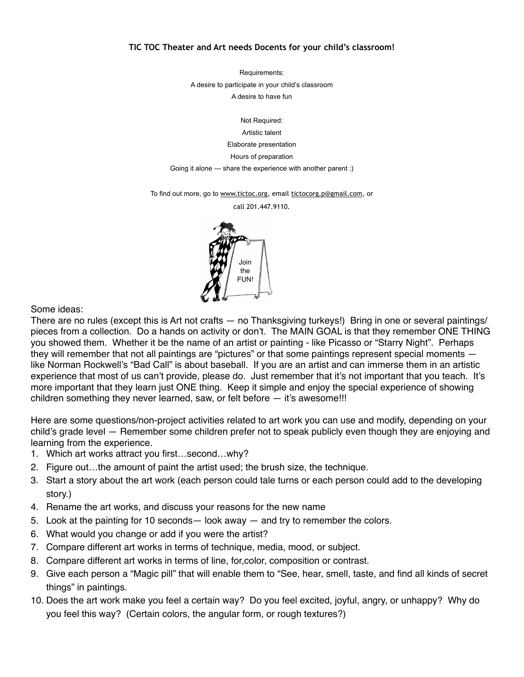## **TIC TOC Theater and Art needs Docents for your child's classroom!**

Requirements: A desire to participate in your child's classroom A desire to have fun

Not Required: Artistic talent Elaborate presentation Hours of preparation

Going it alone — share the experience with another parent :)

To find out more, go to [www.tictoc.org,](http://www.tictoc.org) email [tictocorg.p@gmail.com,](mailto:tictocorg.p@gmail.com) or

call 201.447.9110.



Some ideas:

There are no rules (except this is Art not crafts — no Thanksgiving turkeys!) Bring in one or several paintings/ pieces from a collection. Do a hands on activity or don't. The MAIN GOAL is that they remember ONE THING you showed them. Whether it be the name of an artist or painting - like Picasso or "Starry Night". Perhaps they will remember that not all paintings are "pictures" or that some paintings represent special moments like Norman Rockwell's "Bad Call" is about baseball. If you are an artist and can immerse them in an artistic experience that most of us can't provide, please do. Just remember that it's not important that you teach. It's more important that they learn just ONE thing. Keep it simple and enjoy the special experience of showing children something they never learned, saw, or felt before — it's awesome!!!

Here are some questions/non-project activities related to art work you can use and modify, depending on your child's grade level — Remember some children prefer not to speak publicly even though they are enjoying and learning from the experience.

- 1. Which art works attract you first…second…why?
- 2. Figure out…the amount of paint the artist used; the brush size, the technique.
- 3. Start a story about the art work (each person could tale turns or each person could add to the developing story.)
- 4. Rename the art works, and discuss your reasons for the new name
- 5. Look at the painting for 10 seconds— look away and try to remember the colors.
- 6. What would you change or add if you were the artist?
- 7. Compare different art works in terms of technique, media, mood, or subject.
- 8. Compare different art works in terms of line, for,color, composition or contrast.
- 9. Give each person a "Magic pill" that will enable them to "See, hear, smell, taste, and find all kinds of secret things" in paintings.
- 10. Does the art work make you feel a certain way? Do you feel excited, joyful, angry, or unhappy? Why do you feel this way? (Certain colors, the angular form, or rough textures?)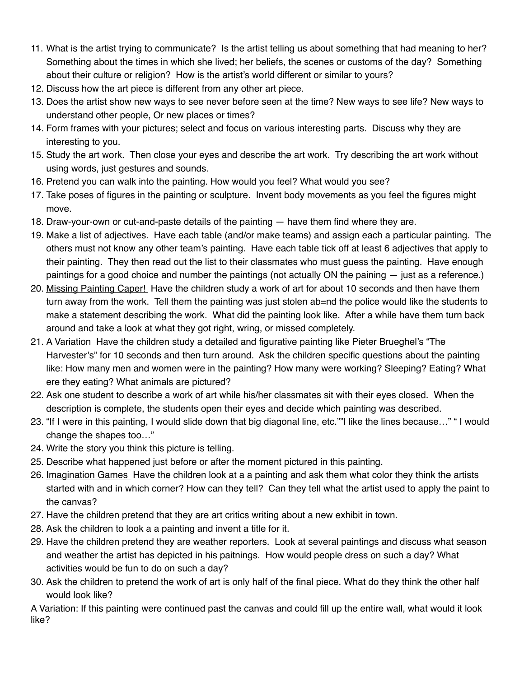- 11. What is the artist trying to communicate? Is the artist telling us about something that had meaning to her? Something about the times in which she lived; her beliefs, the scenes or customs of the day? Something about their culture or religion? How is the artist's world different or similar to yours?
- 12. Discuss how the art piece is different from any other art piece.
- 13. Does the artist show new ways to see never before seen at the time? New ways to see life? New ways to understand other people, Or new places or times?
- 14. Form frames with your pictures; select and focus on various interesting parts. Discuss why they are interesting to you.
- 15. Study the art work. Then close your eyes and describe the art work. Try describing the art work without using words, just gestures and sounds.
- 16. Pretend you can walk into the painting. How would you feel? What would you see?
- 17. Take poses of figures in the painting or sculpture. Invent body movements as you feel the figures might move.
- 18. Draw-your-own or cut-and-paste details of the painting have them find where they are.
- 19. Make a list of adjectives. Have each table (and/or make teams) and assign each a particular painting. The others must not know any other team's painting. Have each table tick off at least 6 adjectives that apply to their painting. They then read out the list to their classmates who must guess the painting. Have enough paintings for a good choice and number the paintings (not actually ON the paining — just as a reference.)
- 20. Missing Painting Caper! Have the children study a work of art for about 10 seconds and then have them turn away from the work. Tell them the painting was just stolen ab=nd the police would like the students to make a statement describing the work. What did the painting look like. After a while have them turn back around and take a look at what they got right, wring, or missed completely.
- 21. A Variation Have the children study a detailed and figurative painting like Pieter Brueghel's "The Harvester's" for 10 seconds and then turn around. Ask the children specific questions about the painting like: How many men and women were in the painting? How many were working? Sleeping? Eating? What ere they eating? What animals are pictured?
- 22. Ask one student to describe a work of art while his/her classmates sit with their eyes closed. When the description is complete, the students open their eyes and decide which painting was described.
- 23. "If I were in this painting, I would slide down that big diagonal line, etc.""I like the lines because…" " I would change the shapes too…"
- 24. Write the story you think this picture is telling.
- 25. Describe what happened just before or after the moment pictured in this painting.
- 26. Imagination Games Have the children look at a a painting and ask them what color they think the artists started with and in which corner? How can they tell? Can they tell what the artist used to apply the paint to the canvas?
- 27. Have the children pretend that they are art critics writing about a new exhibit in town.
- 28. Ask the children to look a a painting and invent a title for it.
- 29. Have the children pretend they are weather reporters. Look at several paintings and discuss what season and weather the artist has depicted in his paitnings. How would people dress on such a day? What activities would be fun to do on such a day?
- 30. Ask the children to pretend the work of art is only half of the final piece. What do they think the other half would look like?

A Variation: If this painting were continued past the canvas and could fill up the entire wall, what would it look like?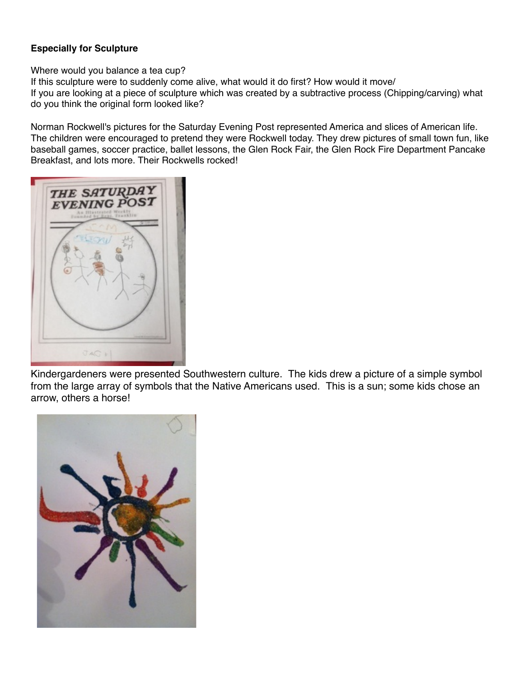## **Especially for Sculpture**

Where would you balance a tea cup?

If this sculpture were to suddenly come alive, what would it do first? How would it move/ If you are looking at a piece of sculpture which was created by a subtractive process (Chipping/carving) what do you think the original form looked like?

Norman Rockwell's pictures for the Saturday Evening Post represented America and slices of American life. The children were encouraged to pretend they were Rockwell today. They drew pictures of small town fun, like baseball games, soccer practice, ballet lessons, the Glen Rock Fair, the Glen Rock Fire Department Pancake Breakfast, and lots more. Their Rockwells rocked!



Kindergardeners were presented Southwestern culture. The kids drew a picture of a simple symbol from the large array of symbols that the Native Americans used. This is a sun; some kids chose an arrow, others a horse!

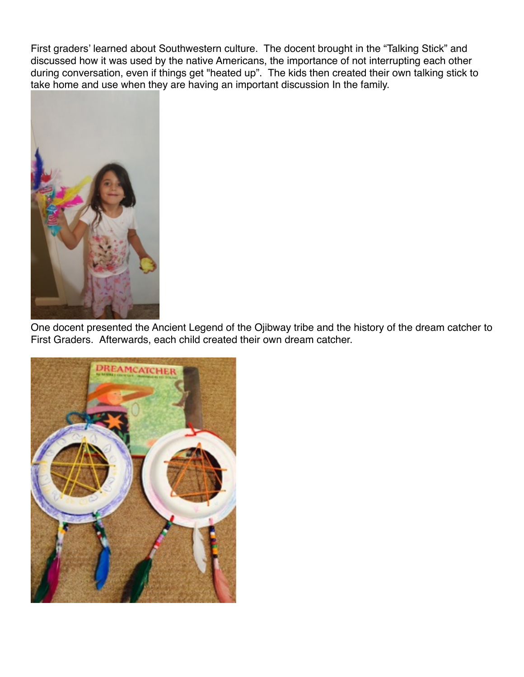First graders' learned about Southwestern culture. The docent brought in the "Talking Stick" and discussed how it was used by the native Americans, the importance of not interrupting each other during conversation, even if things get "heated up". The kids then created their own talking stick to take home and use when they are having an important discussion In the family.



One docent presented the Ancient Legend of the Ojibway tribe and the history of the dream catcher to First Graders. Afterwards, each child created their own dream catcher.

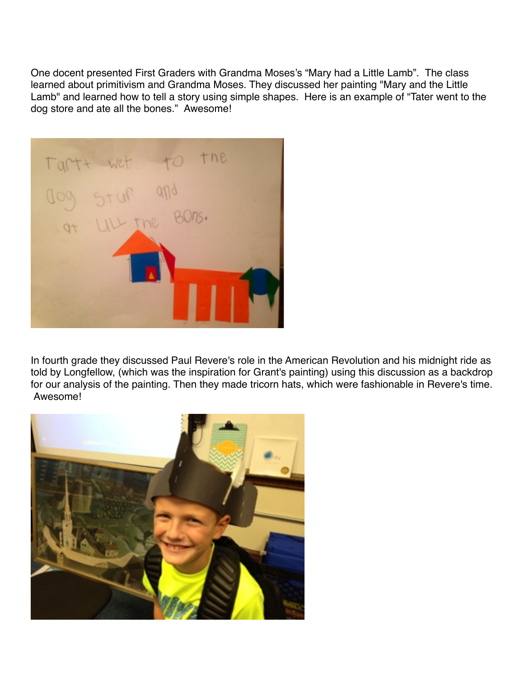One docent presented First Graders with Grandma Moses's "Mary had a Little Lamb". The class learned about primitivism and Grandma Moses. They discussed her painting "Mary and the Little Lamb" and learned how to tell a story using simple shapes. Here is an example of "Tater went to the dog store and ate all the bones." Awesome!



In fourth grade they discussed Paul Revere's role in the American Revolution and his midnight ride as told by Longfellow, (which was the inspiration for Grant's painting) using this discussion as a backdrop for our analysis of the painting. Then they made tricorn hats, which were fashionable in Revere's time. Awesome!